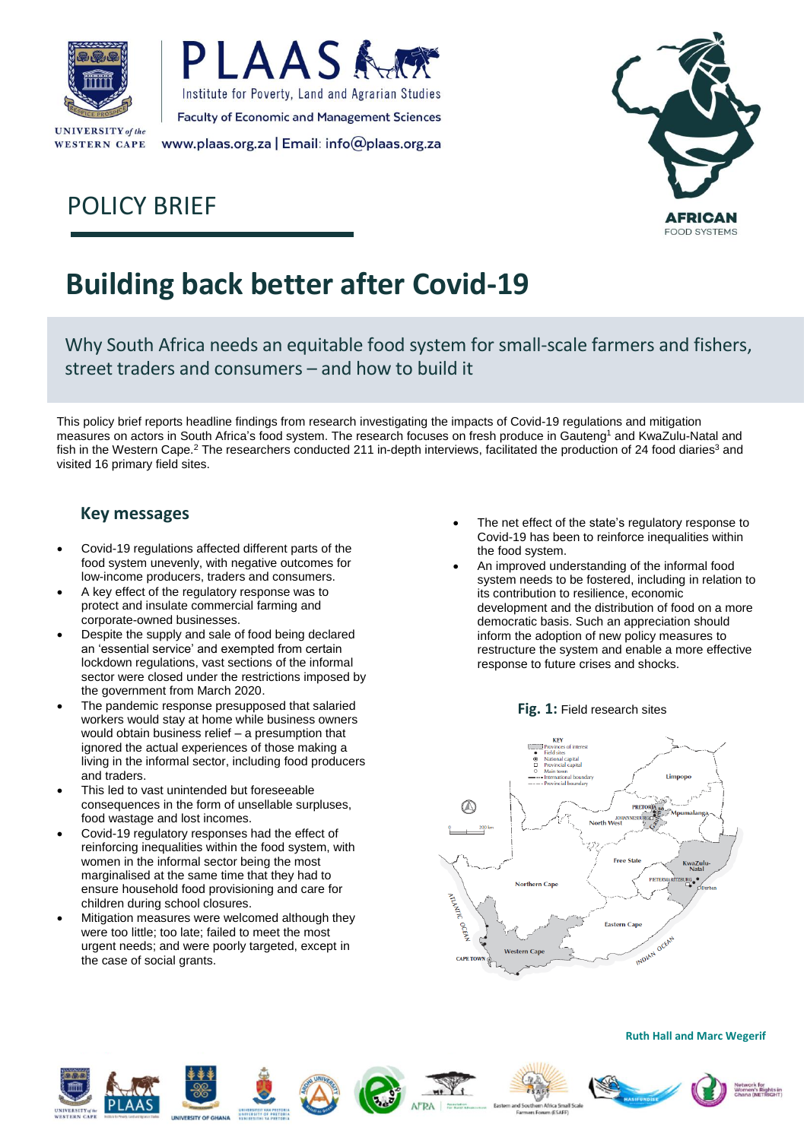

**WESTERN CAPE** 





# POLICY BRIEF

# **Building back better after Covid-19**

Why South Africa needs an equitable food system for small-scale farmers and fishers, street traders and consumers – and how to build it

This policy brief reports headline findings from research investigating the impacts of Covid-19 regulations and mitigation measures on actors in South Africa's food system. The research focuses on fresh produce in Gauteng<sup>1</sup> and KwaZulu-Natal and fish in the Western Cape.<sup>2</sup> The researchers conducted 211 in-depth interviews, facilitated the production of 24 food diaries<sup>3</sup> and visited 16 primary field sites.

### **Key messages**

- Covid-19 regulations affected different parts of the food system unevenly, with negative outcomes for low-income producers, traders and consumers.
- A key effect of the regulatory response was to protect and insulate commercial farming and corporate-owned businesses.
- Despite the supply and sale of food being declared an 'essential service' and exempted from certain lockdown regulations, vast sections of the informal sector were closed under the restrictions imposed by the government from March 2020.
- The pandemic response presupposed that salaried workers would stay at home while business owners would obtain business relief – a presumption that ignored the actual experiences of those making a living in the informal sector, including food producers and traders.
- This led to vast unintended but foreseeable consequences in the form of unsellable surpluses, food wastage and lost incomes.
- Covid-19 regulatory responses had the effect of reinforcing inequalities within the food system, with women in the informal sector being the most marginalised at the same time that they had to ensure household food provisioning and care for children during school closures.
- Mitigation measures were welcomed although they were too little; too late; failed to meet the most urgent needs; and were poorly targeted, except in the case of social grants.
- The net effect of the state's regulatory response to Covid-19 has been to reinforce inequalities within the food system.
- An improved understanding of the informal food system needs to be fostered, including in relation to its contribution to resilience, economic development and the distribution of food on a more democratic basis. Such an appreciation should inform the adoption of new policy measures to restructure the system and enable a more effective response to future crises and shocks.

#### **Fig. 1:** Field research sites















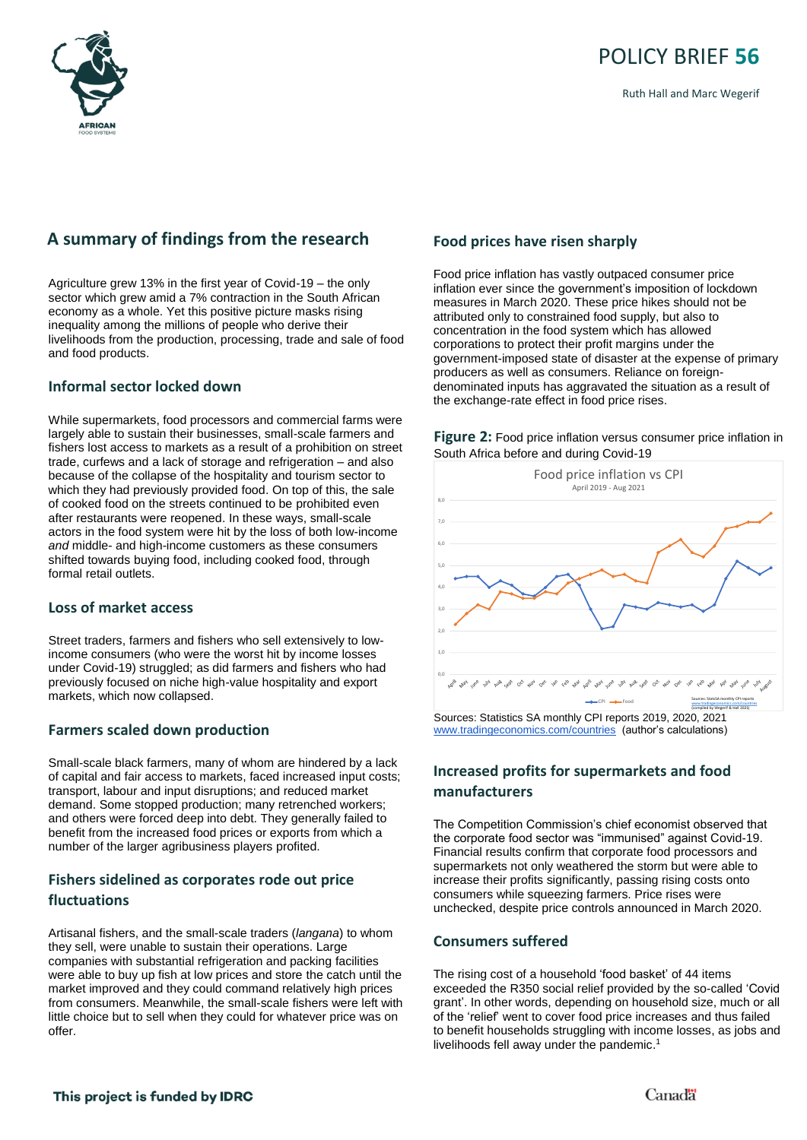

Ruth Hall and Marc Wegerif

### **A summary of findings from the research**

Agriculture grew 13% in the first year of Covid-19 – the only sector which grew amid a 7% contraction in the South African economy as a whole. Yet this positive picture masks rising inequality among the millions of people who derive their livelihoods from the production, processing, trade and sale of food and food products.

#### **Informal sector locked down**

While supermarkets, food processors and commercial farms were largely able to sustain their businesses, small-scale farmers and fishers lost access to markets as a result of a prohibition on street trade, curfews and a lack of storage and refrigeration – and also because of the collapse of the hospitality and tourism sector to which they had previously provided food. On top of this, the sale of cooked food on the streets continued to be prohibited even after restaurants were reopened. In these ways, small-scale actors in the food system were hit by the loss of both low-income *and* middle- and high-income customers as these consumers shifted towards buying food, including cooked food, through formal retail outlets.

#### **Loss of market access**

Street traders, farmers and fishers who sell extensively to lowincome consumers (who were the worst hit by income losses under Covid-19) struggled; as did farmers and fishers who had previously focused on niche high-value hospitality and export markets, which now collapsed.

#### **Farmers scaled down production**

Small-scale black farmers, many of whom are hindered by a lack of capital and fair access to markets, faced increased input costs; transport, labour and input disruptions; and reduced market demand. Some stopped production; many retrenched workers; and others were forced deep into debt. They generally failed to benefit from the increased food prices or exports from which a number of the larger agribusiness players profited.

#### **Fishers sidelined as corporates rode out price fluctuations**

Artisanal fishers, and the small-scale traders (*langana*) to whom they sell, were unable to sustain their operations. Large companies with substantial refrigeration and packing facilities were able to buy up fish at low prices and store the catch until the market improved and they could command relatively high prices from consumers. Meanwhile, the small-scale fishers were left with little choice but to sell when they could for whatever price was on offer.

#### **Food prices have risen sharply**

Food price inflation has vastly outpaced consumer price inflation ever since the government's imposition of lockdown measures in March 2020. These price hikes should not be attributed only to constrained food supply, but also to concentration in the food system which has allowed corporations to protect their profit margins under the government-imposed state of disaster at the expense of primary producers as well as consumers. Reliance on foreigndenominated inputs has aggravated the situation as a result of the exchange-rate effect in food price rises.





Sources: Statistics SA monthly CPI reports 2019, 2020, 2021 [www.tradingeconomics.com/countries](about:blank) (author's calculations)

### **Increased profits for supermarkets and food manufacturers**

The Competition Commission's chief economist observed that the corporate food sector was "immunised" against Covid-19. Financial results confirm that corporate food processors and supermarkets not only weathered the storm but were able to increase their profits significantly, passing rising costs onto consumers while squeezing farmers. Price rises were unchecked, despite price controls announced in March 2020.

#### **Consumers suffered**

The rising cost of a household 'food basket' of 44 items exceeded the R350 social relief provided by the so-called 'Covid grant'. In other words, depending on household size, much or all of the 'relief' went to cover food price increases and thus failed to benefit households struggling with income losses, as jobs and livelihoods fell away under the pandemic. 1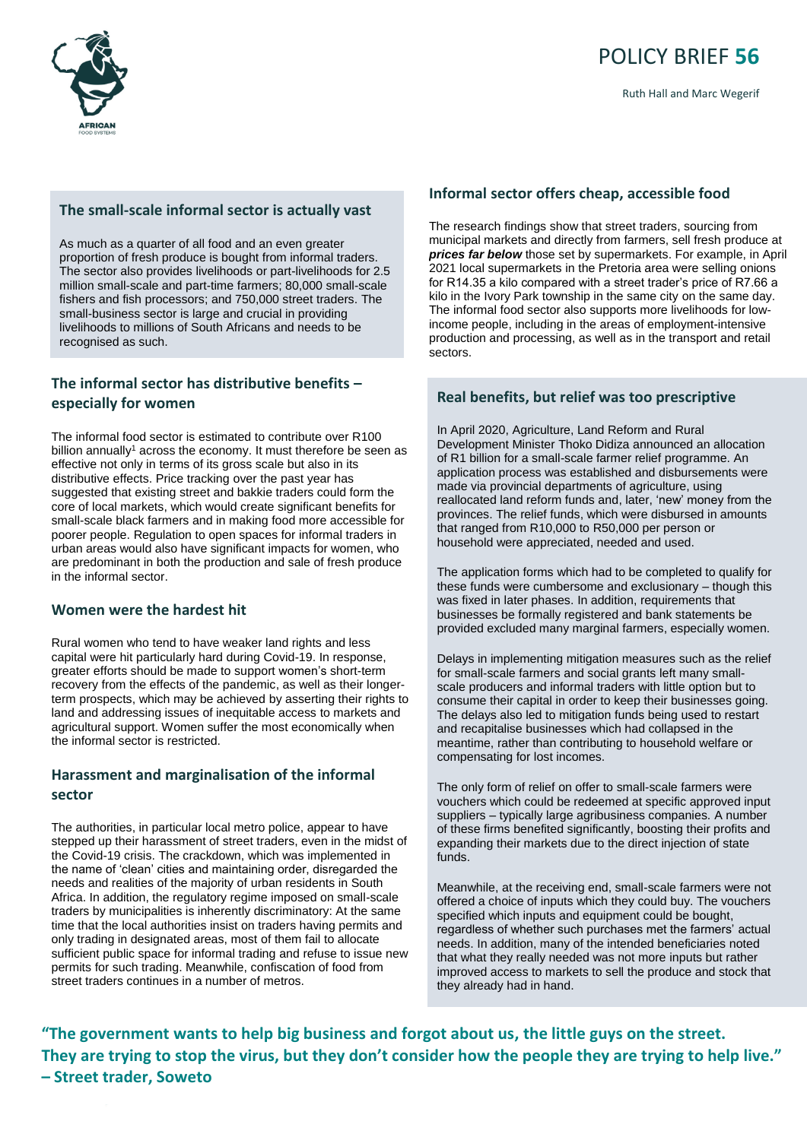

#### **The small-scale informal sector is actually vast**

As much as a quarter of all food and an even greater proportion of fresh produce is bought from informal traders. The sector also provides livelihoods or part-livelihoods for 2.5 million small-scale and part-time farmers; 80,000 small-scale fishers and fish processors; and 750,000 street traders. The small-business sector is large and crucial in providing livelihoods to millions of South Africans and needs to be recognised as such.

#### **The informal sector has distributive benefits – especially for women**

The informal food sector is estimated to contribute over R100 billion annually<sup>1</sup> across the economy. It must therefore be seen as effective not only in terms of its gross scale but also in its distributive effects. Price tracking over the past year has suggested that existing street and bakkie traders could form the core of local markets, which would create significant benefits for small-scale black farmers and in making food more accessible for poorer people. Regulation to open spaces for informal traders in urban areas would also have significant impacts for women, who are predominant in both the production and sale of fresh produce in the informal sector.

#### **Women were the hardest hit**

Rural women who tend to have weaker land rights and less capital were hit particularly hard during Covid-19. In response, greater efforts should be made to support women's short-term recovery from the effects of the pandemic, as well as their longerterm prospects, which may be achieved by asserting their rights to land and addressing issues of inequitable access to markets and agricultural support. Women suffer the most economically when the informal sector is restricted.

#### **Harassment and marginalisation of the informal sector**

The authorities, in particular local metro police, appear to have stepped up their harassment of street traders, even in the midst of the Covid-19 crisis. The crackdown, which was implemented in the name of 'clean' cities and maintaining order, disregarded the needs and realities of the majority of urban residents in South Africa. In addition, the regulatory regime imposed on small-scale traders by municipalities is inherently discriminatory: At the same time that the local authorities insist on traders having permits and only trading in designated areas, most of them fail to allocate sufficient public space for informal trading and refuse to issue new permits for such trading. Meanwhile, confiscation of food from street traders continues in a number of metros.

#### **Informal sector offers cheap, accessible food**

The research findings show that street traders, sourcing from municipal markets and directly from farmers, sell fresh produce at *prices far below* those set by supermarkets. For example, in April 2021 local supermarkets in the Pretoria area were selling onions for R14.35 a kilo compared with a street trader's price of R7.66 a kilo in the Ivory Park township in the same city on the same day. The informal food sector also supports more livelihoods for lowincome people, including in the areas of employment-intensive production and processing, as well as in the transport and retail sectors.

#### **Real benefits, but relief was too prescriptive**

In April 2020, Agriculture, Land Reform and Rural Development Minister Thoko Didiza announced an allocation<br>
Solid billian for a consul a sale forman presents a chronic consultation of R1 billion for a small-scale farmer relief programme. An or KT billion for a small-scale familer relief programme. An<br>application process was established and disbursements were expression process mas containshock and also are nonreallocated land reform funds and, later, 'new' money from the provinces. The relief funds, which were disbursed in amounts that ranged from R10,000 to R50,000 per person or mat ranged from KT0,000 to K50,000 per person or<br>household were appreciated, needed and used. thousehold were appropriated, 'heeded and doed.

The application forms which had to be completed to qualify for these funds were cumbersome and exclusionary - though this was fixed in later phases. In addition, requirements that businesses be formally registered and bank statements be <br>provided avaluded many marginal formats, conceively were provided excluded many marginal farmers, especially women.

Delays in implementing mitigation measures such as the relief for small-scale farmers and social grants left many smallscale producers and informal traders with little option but to consume their capital in order to keep their businesses going. The delays also led to mitigation funds being used to restart<br>and recapitalise businesses which had collapsed in the and recapitalise businesses which had collapsed in the meantime, rather than contributing to household welfare or compensating for lost incomes.

The only form of relief on offer to small-scale farmers were **build vouchers which could be redeemed at specific approved input<br>
<b>Build curing the way found and provide the way found the way found in** suppliers – typically large agribusiness companies. A number suppliers – typically large agribushess companies. A number of these firms benefited significantly, boosting their profits and expanding their markets due to the direct injection of state funds. are well seen the well serviced by public transport. Limit the well service transport.

Meanwhile, at the receiving end, small-scale farmers were not offered a choice of inputs which they could buy. The vouchers specified which inputs and equipment could be bought, regardless of whether such purchases met the farmers' actual regardless of whether such purchases met the farmers' needs. In addition, many of the intended beneficiaries noted that what they really needed was not more inputs but rather improved access to markets to sell the produce and stock that they already had in hand.  $\mathbf{a}$  is and inappropriate criteria. Most criteria. Most criteria. Most criteria. Most criteria. Most criteria.  $\mathbf{a}$ 

"The government wants to help big business and forgot about us, the little guys on the street. producers and trade gays on the origin. They are trying to stop the virus, but they don't consider how the people they are trying to help live." **– Street trader, Soweto**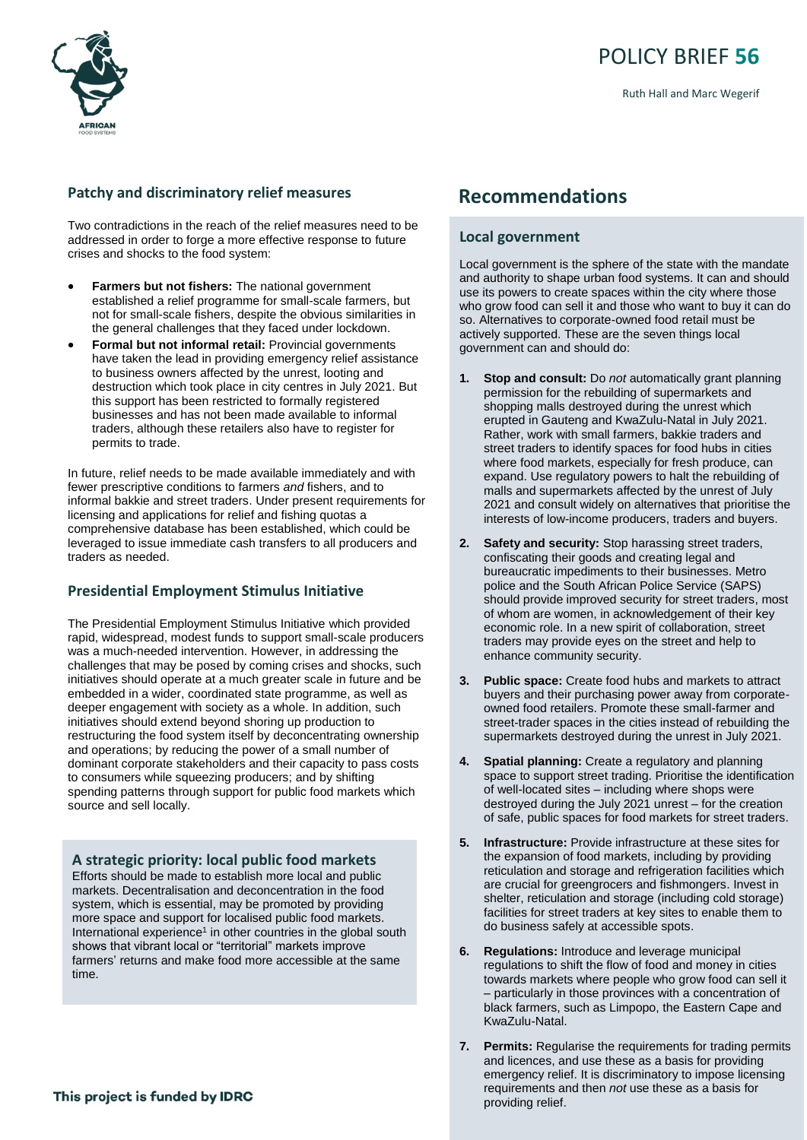

# POLICY BRIEF **56**

Ruth Hall and Marc Wegerif

#### **Patchy and discriminatory relief measures**

Two contradictions in the reach of the relief measures need to be addressed in order to forge a more effective response to future crises and shocks to the food system:

- **Farmers but not fishers:** The national government established a relief programme for small-scale farmers, but not for small-scale fishers, despite the obvious similarities in the general challenges that they faced under lockdown.
- **Formal but not informal retail:** Provincial governments have taken the lead in providing emergency relief assistance to business owners affected by the unrest, looting and destruction which took place in city centres in July 2021. But this support has been restricted to formally registered businesses and has not been made available to informal traders, although these retailers also have to register for permits to trade.

In future, relief needs to be made available immediately and with fewer prescriptive conditions to farmers *and* fishers, and to informal bakkie and street traders. Under present requirements for licensing and applications for relief and fishing quotas a comprehensive database has been established, which could be leveraged to issue immediate cash transfers to all producers and traders as needed.

#### **Presidential Employment Stimulus Initiative**

The Presidential Employment Stimulus Initiative which provided rapid, widespread, modest funds to support small-scale producers was a much-needed intervention. However, in addressing the challenges that may be posed by coming crises and shocks, such initiatives should operate at a much greater scale in future and be embedded in a wider, coordinated state programme, as well as deeper engagement with society as a whole. In addition, such initiatives should extend beyond shoring up production to restructuring the food system itself by deconcentrating ownership and operations; by reducing the power of a small number of dominant corporate stakeholders and their capacity to pass costs to consumers while squeezing producers; and by shifting spending patterns through support for public food markets which source and sell locally.

#### **A strategic priority: local public food markets**

Efforts should be made to establish more local and public markets. Decentralisation and deconcentration in the food system, which is essential, may be promoted by providing more space and support for localised public food markets. International experience<sup>1</sup> in other countries in the global south shows that vibrant local or "territorial" markets improve farmers' returns and make food more accessible at the same time.

# **Recommendations**

#### **Local government**

Local government is the sphere of the state with the mandate and authority to shape urban food systems. It can and should use its powers to create spaces within the city where those who grow food can sell it and those who want to buy it can do so. Alternatives to corporate-owned food retail must be actively supported. These are the seven things local government can and should do:

- **1. Stop and consult:** Do *not* automatically grant planning permission for the rebuilding of supermarkets and shopping malls destroyed during the unrest which erupted in Gauteng and KwaZulu-Natal in July 2021. Rather, work with small farmers, bakkie traders and street traders to identify spaces for food hubs in cities where food markets, especially for fresh produce, can expand. Use regulatory powers to halt the rebuilding of malls and supermarkets affected by the unrest of July 2021 and consult widely on alternatives that prioritise the interests of low-income producers, traders and buyers.
- **2. Safety and security:** Stop harassing street traders, confiscating their goods and creating legal and bureaucratic impediments to their businesses. Metro police and the South African Police Service (SAPS) should provide improved security for street traders, most of whom are women, in acknowledgement of their key economic role. In a new spirit of collaboration, street traders may provide eyes on the street and help to enhance community security.
- **3. Public space:** Create food hubs and markets to attract buyers and their purchasing power away from corporateowned food retailers. Promote these small-farmer and street-trader spaces in the cities instead of rebuilding the supermarkets destroyed during the unrest in July 2021.
- **4. Spatial planning:** Create a regulatory and planning space to support street trading. Prioritise the identification of well-located sites – including where shops were destroyed during the July 2021 unrest – for the creation of safe, public spaces for food markets for street traders.
- **5. Infrastructure:** Provide infrastructure at these sites for the expansion of food markets, including by providing reticulation and storage and refrigeration facilities which are crucial for greengrocers and fishmongers. Invest in shelter, reticulation and storage (including cold storage) facilities for street traders at key sites to enable them to do business safely at accessible spots.
- **6. Regulations:** Introduce and leverage municipal regulations to shift the flow of food and money in cities towards markets where people who grow food can sell it – particularly in those provinces with a concentration of black farmers, such as Limpopo, the Eastern Cape and KwaZulu-Natal.
- **7. Permits:** Regularise the requirements for trading permits and licences, and use these as a basis for providing emergency relief. It is discriminatory to impose licensing requirements and then *not* use these as a basis for providing relief.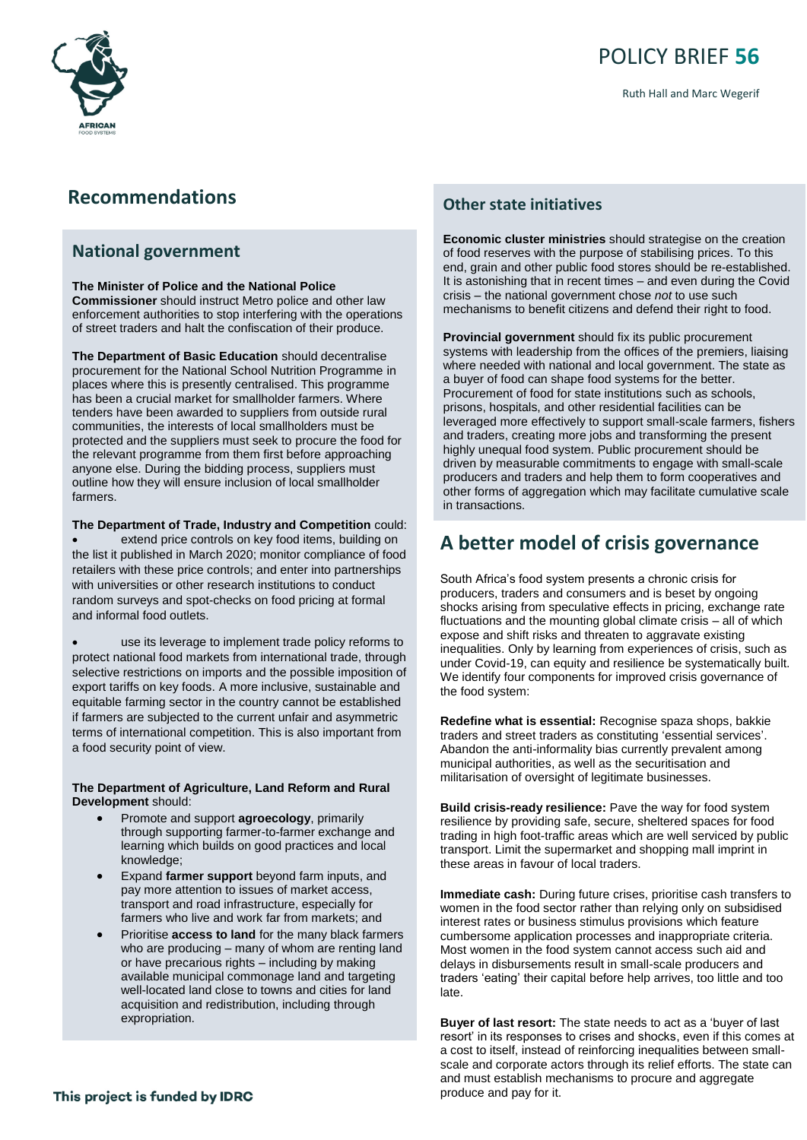

# POLICY BRIEF **56**

Ruth Hall and Marc Wegerif

### **Recommendations**

#### **National government**

#### **The Minister of Police and the National Police**

**Commissioner** should instruct Metro police and other law enforcement authorities to stop interfering with the operations of street traders and halt the confiscation of their produce.

**The Department of Basic Education** should decentralise procurement for the National School Nutrition Programme in places where this is presently centralised. This programme has been a crucial market for smallholder farmers. Where tenders have been awarded to suppliers from outside rural communities, the interests of local smallholders must be protected and the suppliers must seek to procure the food for the relevant programme from them first before approaching anyone else. During the bidding process, suppliers must outline how they will ensure inclusion of local smallholder farmers.

#### **The Department of Trade, Industry and Competition** could:

extend price controls on key food items, building on the list it published in March 2020; monitor compliance of food retailers with these price controls; and enter into partnerships with universities or other research institutions to conduct random surveys and spot-checks on food pricing at formal and informal food outlets.

use its leverage to implement trade policy reforms to protect national food markets from international trade, through selective restrictions on imports and the possible imposition of export tariffs on key foods. A more inclusive, sustainable and equitable farming sector in the country cannot be established if farmers are subjected to the current unfair and asymmetric terms of international competition. This is also important from a food security point of view.

#### **The Department of Agriculture, Land Reform and Rural Development** should:

- Promote and support **agroecology**, primarily through supporting farmer-to-farmer exchange and learning which builds on good practices and local knowledge;
- Expand **farmer support** beyond farm inputs, and pay more attention to issues of market access, transport and road infrastructure, especially for farmers who live and work far from markets; and
- Prioritise **access to land** for the many black farmers who are producing – many of whom are renting land or have precarious rights – including by making available municipal commonage land and targeting well-located land close to towns and cities for land acquisition and redistribution, including through expropriation.

#### **Other state initiatives**

**Economic cluster ministries** should strategise on the creation of food reserves with the purpose of stabilising prices. To this end, grain and other public food stores should be re-established. It is astonishing that in recent times – and even during the Covid crisis – the national government chose *not* to use such mechanisms to benefit citizens and defend their right to food.

**Provincial government** should fix its public procurement systems with leadership from the offices of the premiers, liaising where needed with national and local government. The state as a buyer of food can shape food systems for the better. Procurement of food for state institutions such as schools, prisons, hospitals, and other residential facilities can be leveraged more effectively to support small-scale farmers, fishers and traders, creating more jobs and transforming the present highly unequal food system. Public procurement should be driven by measurable commitments to engage with small-scale producers and traders and help them to form cooperatives and other forms of aggregation which may facilitate cumulative scale in transactions.

# **A better model of crisis governance**

South Africa's food system presents a chronic crisis for producers, traders and consumers and is beset by ongoing shocks arising from speculative effects in pricing, exchange rate fluctuations and the mounting global climate crisis – all of which expose and shift risks and threaten to aggravate existing inequalities. Only by learning from experiences of crisis, such as under Covid-19, can equity and resilience be systematically built. We identify four components for improved crisis governance of the food system:

**Redefine what is essential:** Recognise spaza shops, bakkie traders and street traders as constituting 'essential services'. Abandon the anti-informality bias currently prevalent among municipal authorities, as well as the securitisation and militarisation of oversight of legitimate businesses.

**Build crisis-ready resilience:** Pave the way for food system resilience by providing safe, secure, sheltered spaces for food trading in high foot-traffic areas which are well serviced by public transport. Limit the supermarket and shopping mall imprint in these areas in favour of local traders.

**Immediate cash:** During future crises, prioritise cash transfers to women in the food sector rather than relying only on subsidised interest rates or business stimulus provisions which feature cumbersome application processes and inappropriate criteria. Most women in the food system cannot access such aid and delays in disbursements result in small-scale producers and traders 'eating' their capital before help arrives, too little and too late.

**Buyer of last resort:** The state needs to act as a 'buyer of last resort' in its responses to crises and shocks, even if this comes at a cost to itself, instead of reinforcing inequalities between smallscale and corporate actors through its relief efforts. The state can and must establish mechanisms to procure and aggregate produce and pay for it.